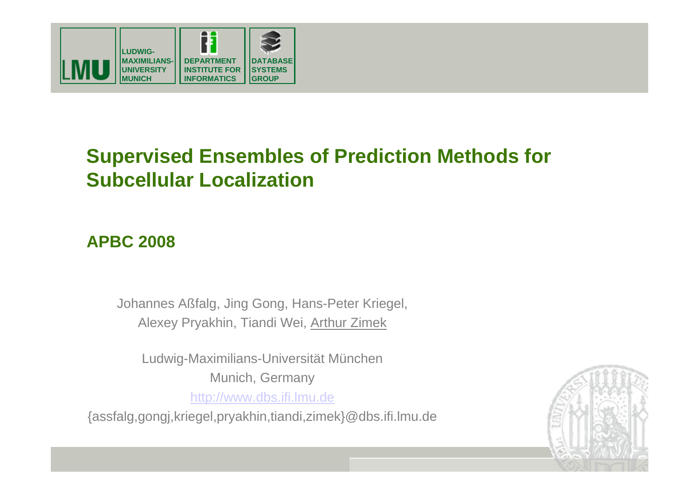

# **Supervised Ensembles of Prediction Methods for Subcellular Localization**

## **APBC 2008**

Johannes Aßfalg, Jing Gong, Hans-Peter Kriegel, Alexey Pryakhin, Tiandi Wei, Arthur Zimek

Ludwig-Maximilians-Universität München Munich, Germany http://www.dbs.ifi.lmu.de

{assfalg,gongj,kriegel,pryakhin,tiandi,zimek}@dbs.ifi.lmu.de

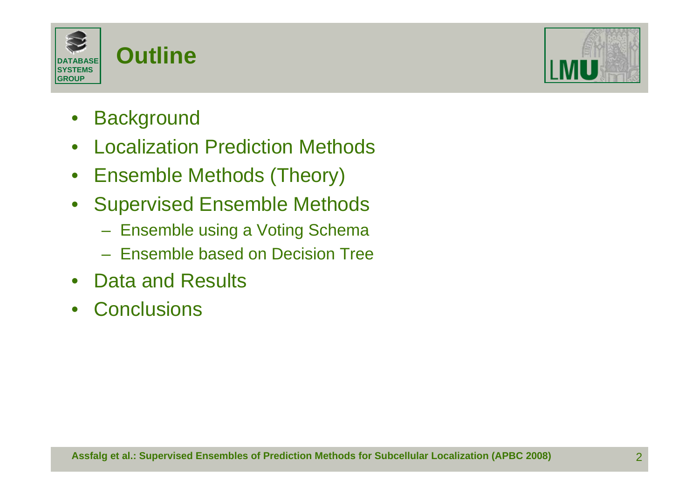



- $\bullet$ **Background**
- •Localization Prediction Methods
- $\bullet$ Ensemble Methods (Theory)
- $\bullet$  Supervised Ensemble Methods
	- Ensemble using a Voting Schema
	- Ensemble based on Decision Tree
- $\bullet$ Data and Results
- •**Conclusions**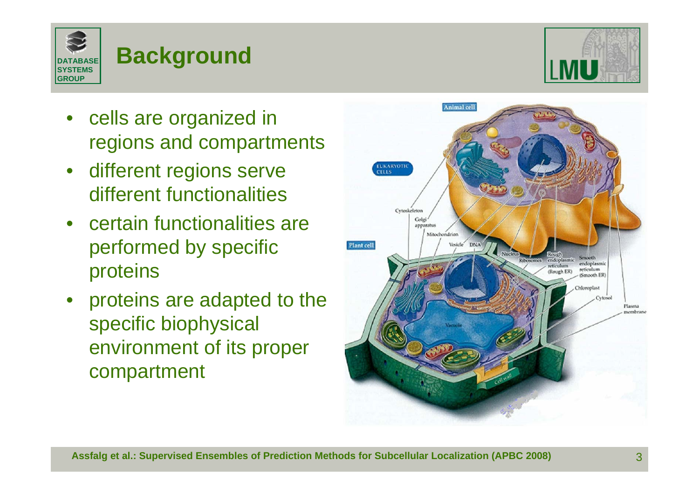

### • cells are organized in regions and compartments

- • different regions serve different functionalities
- certain functionalities are performed by specific proteins
- • proteins are adapted to the specific biophysical environment of its proper compartment





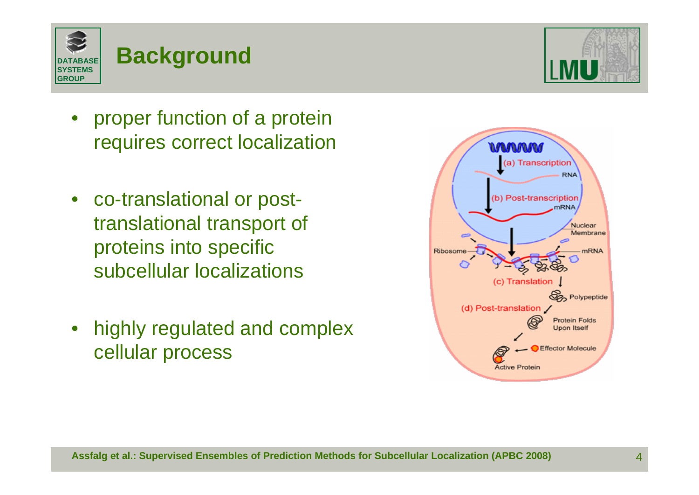

- • proper function of a protein requires correct localization
- $\bullet$  co-translational or posttranslational transport of proteins into specific subcellular localizations
- $\bullet$  highly regulated and complex cellular process

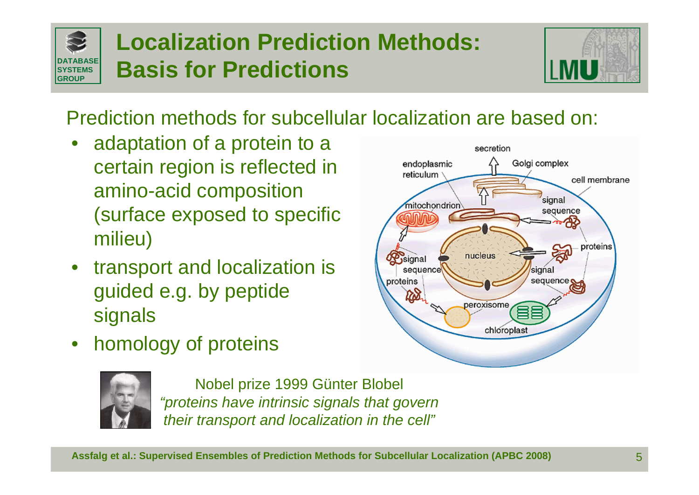#### **DATABASESYSTEMSGROUPLocalization Prediction Methods: Basis for Predictions**



# Prediction methods for subcellular localization are based on:

- • adaptation of a protein to a certain region is reflected in amino-acid composition (surface exposed to specific milieu)
- • transport and localization is guided e.g. by peptide signals
- $\bullet$ homology of proteins



Nobel prize 1999 Günter Blobel *"proteins have intrinsic signals that govern their transport and localization in the cell"*



secretion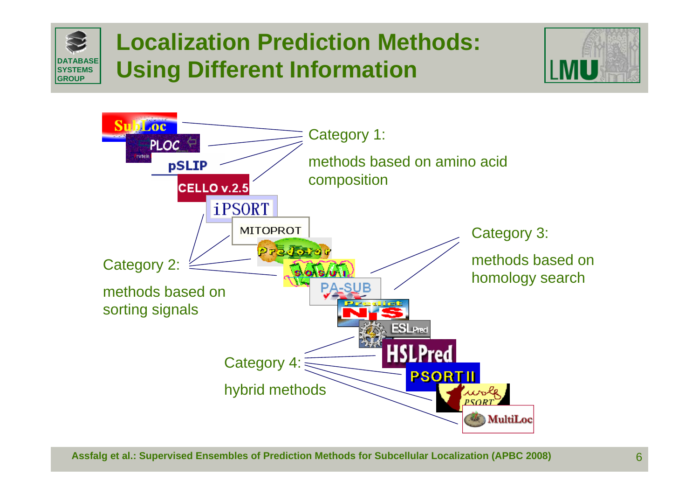#### **DATABASE SYSTEMSGROUPLocalization Prediction Methods: Using Different Information**



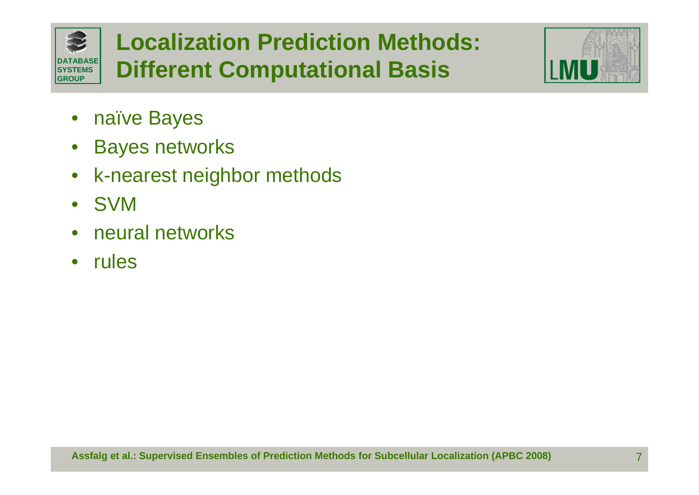#### **DATABASE SYSTEMSGROUPLocalization Prediction Methods: Different Computational Basis**



- $\bullet$ naïve Bayes
- $\bullet$ Bayes networks
- $\bullet$ k-nearest neighbor methods
- $\bullet$ SVM
- •neural networks
- $\bullet$ rules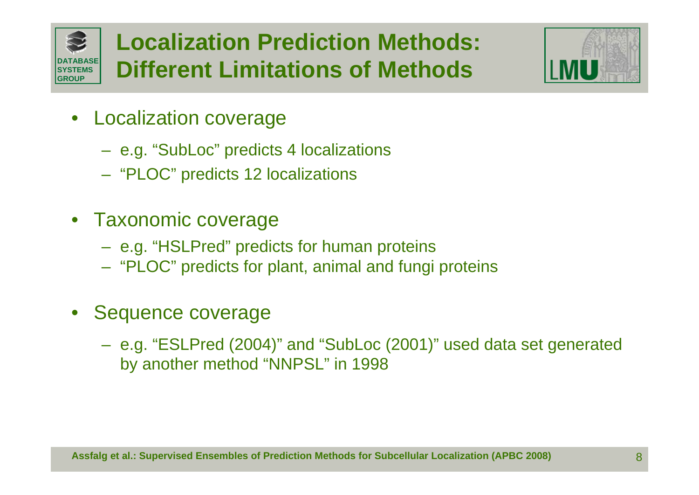#### **DATABASESYSTEMSGROUPLocalization Prediction Methods: Different Limitations of Methods**



- • Localization coverage
	- e.g. "SubLoc" predicts 4 localizations
	- "PLOC" predicts 12 localizations
- Taxonomic coverage
	- e.g. "HSLPred" predicts for human proteins
	- "PLOC" predicts for plant, animal and fungi proteins
- • Sequence coverage
	- e.g. "ESLPred (2004)" and "SubLoc (2001)" used data set generated by another method "NNPSL" in 1998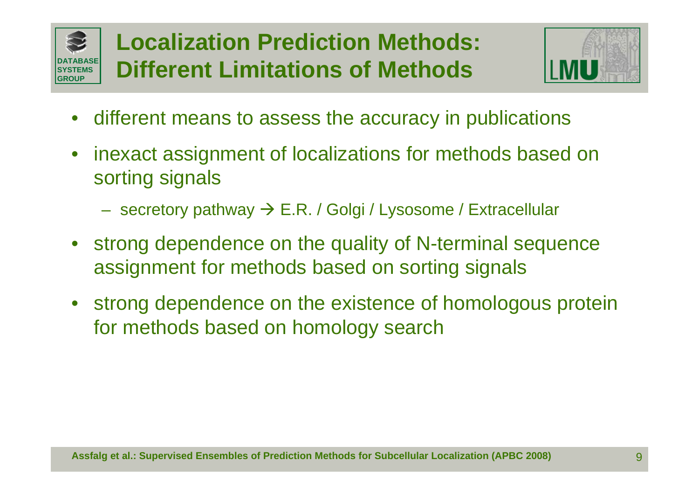#### **DATABASESYSTEMSGROUPLocalization Prediction Methods: Different Limitations of Methods**



- •different means to assess the accuracy in publications
- • inexact assignment of localizations for methods based on sorting signals
	- secretory pathway → E.R. / Golgi / Lysosome / Extracellular
- • strong dependence on the quality of N-terminal sequence assignment for methods based on sorting signals
- • strong dependence on the existence of homologous protein for methods based on homology search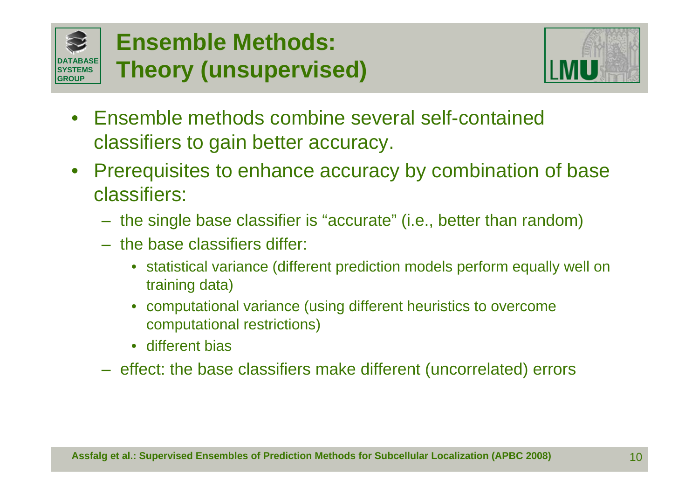



- $\bullet$  Ensemble methods combine several self-contained classifiers to gain better accuracy.
- $\bullet$  Prerequisites to enhance accuracy by combination of base classifiers:
	- the single base classifier is "accurate" (i.e., better than random)
	- the base classifiers differ:
		- statistical variance (different prediction models perform equally well on training data)
		- computational variance (using different heuristics to overcome computational restrictions)
		- different bias
	- effect: the base classifiers make different (uncorrelated) errors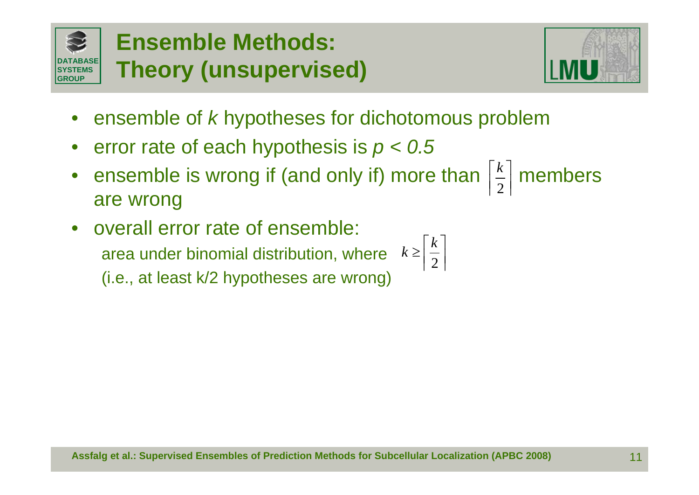



- •ensemble of *k* hypotheses for dichotomous problem
- •error rate of each hypothesis is *p < 0.5*
- •ensemble is wrong if (and only if) more than  $\frac{1}{2}$  members are wrong  $\left\lceil \frac{k}{2} \right\rceil$
- $\bullet$  overall error rate of ensemble: area under binomial distribution, where  $k$ (i.e., at least k/2 hypotheses are wrong)

$$
k \ge \left\lceil \frac{k}{2} \right\rceil
$$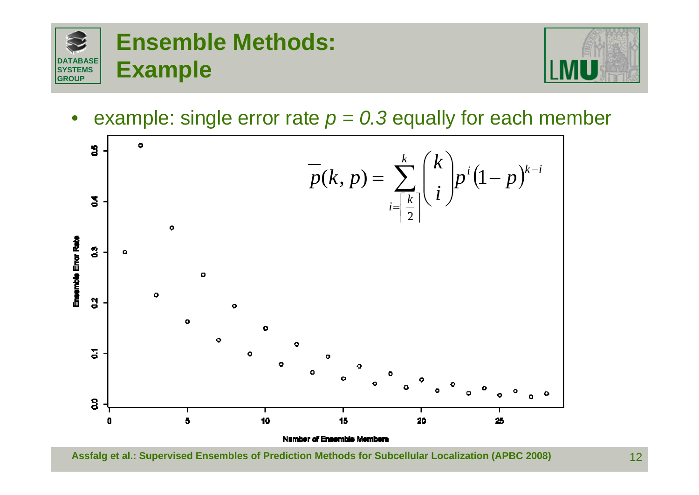



•example: single error rate *p = 0.3* equally for each member

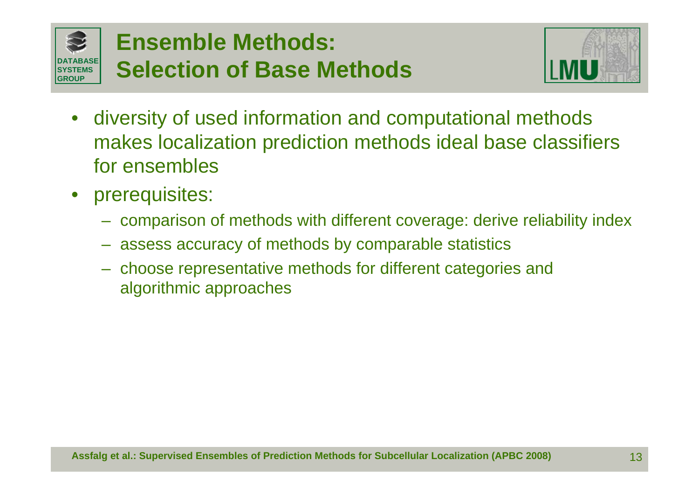#### **DATABASESYSTEMSGROUPEnsemble Methods: Selection of Base Methods**



- • diversity of used information and computational methods makes localization prediction methods ideal base classifiers for ensembles
- prerequisites:
	- comparison of methods with different coverage: derive reliability index
	- assess accuracy of methods by comparable statistics
	- choose representative methods for different categories and algorithmic approaches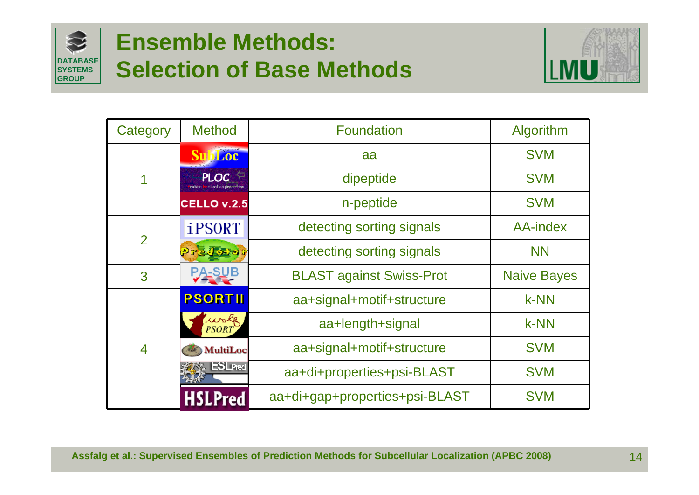



| Category       | <b>Method</b>                               | <b>Foundation</b>               | Algorithm          |
|----------------|---------------------------------------------|---------------------------------|--------------------|
| 1              | <b>SubLoc</b>                               | aa                              | <b>SVM</b>         |
|                | <b>PLOC</b><br>rotein and zation prediction | dipeptide                       | <b>SVM</b>         |
|                | <b>CELLO v.2.5</b>                          | n-peptide                       | <b>SVM</b>         |
| $\overline{2}$ | <b>iPSORT</b>                               | detecting sorting signals       | <b>AA-index</b>    |
|                | Prefere                                     | detecting sorting signals       | <b>NN</b>          |
| 3              | PA-SUB                                      | <b>BLAST against Swiss-Prot</b> | <b>Naive Bayes</b> |
| $\overline{4}$ | <b>PSORTII</b>                              | aa+signal+motif+structure       | k-NN               |
|                | wolk<br><b>PSORT</b>                        | aa+length+signal                | k-NN               |
|                | <b>MultiLoc</b>                             | aa+signal+motif+structure       | <b>SVM</b>         |
|                | <b>ESLPred</b>                              | aa+di+properties+psi-BLAST      | <b>SVM</b>         |
|                | <b>HSLPred</b>                              | aa+di+gap+properties+psi-BLAST  | <b>SVM</b>         |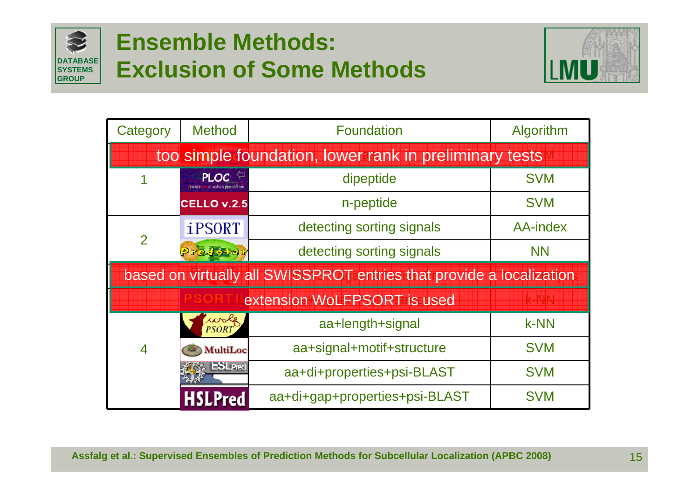#### **DATABASE SYSTEMSGROUPEnsemble Methods: Exclusion of Some Methods**



| Category                                                             | <b>Method</b>                      | <b>Foundation</b>              | Algorithm       |  |
|----------------------------------------------------------------------|------------------------------------|--------------------------------|-----------------|--|
| too simple foundation, lower rank in preliminary tests               |                                    |                                |                 |  |
|                                                                      | <b>PLOC</b><br>and zotion predicti | dipeptide                      | <b>SVM</b>      |  |
|                                                                      | CELLO v.2.5                        | n-peptide                      | <b>SVM</b>      |  |
| $\overline{2}$                                                       | <i>iPSORT</i>                      | detecting sorting signals      | <b>AA-index</b> |  |
|                                                                      | <b>PTSJOT</b>                      | detecting sorting signals      | <b>NN</b>       |  |
| based on virtually all SWISSPROT entries that provide a localization |                                    |                                |                 |  |
|                                                                      |                                    | extension WoLFPSORT is used    |                 |  |
| $\overline{4}$                                                       | a sert<br><b>PSORT</b>             | aa+length+signal               | k-NN            |  |
|                                                                      | MultiLoc                           | aa+signal+motif+structure      | <b>SVM</b>      |  |
|                                                                      | <b>ESLPred</b>                     | aa+di+properties+psi-BLAST     | <b>SVM</b>      |  |
|                                                                      | <b>HSLPred</b>                     | aa+di+gap+properties+psi-BLAST | <b>SVM</b>      |  |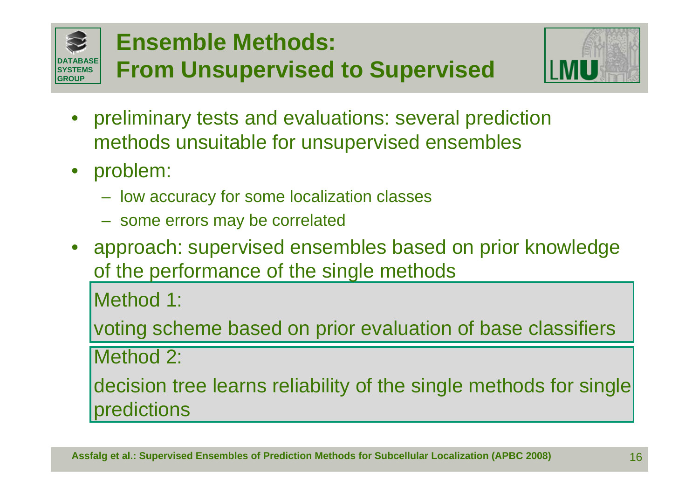### **DATABASEEnsemble Methods: From Unsupervised to Supervised**



- • preliminary tests and evaluations: several prediction methods unsuitable for unsupervised ensembles
- $\bullet$ problem:

**SYSTEMSGROUP**

- low accuracy for some localization classes
- some errors may be correlated
- approach: supervised ensembles based on prior knowledge of the performance of the single methods

Method 1:

voting scheme based on prior evaluation of base classifiers

Method 2:

decision tree learns reliability of the single methods for single predictions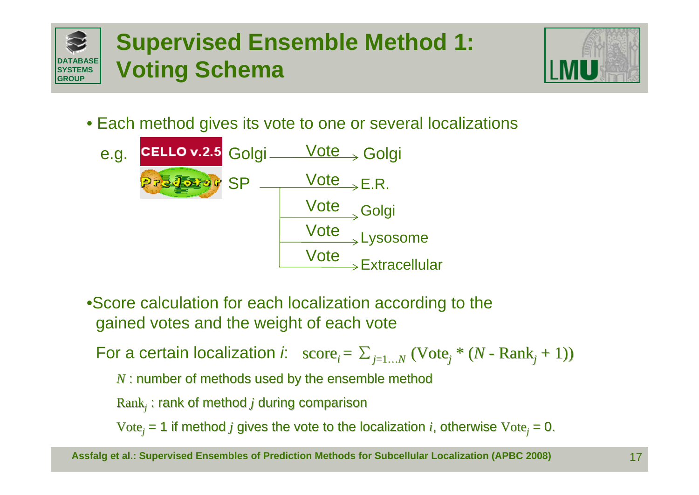



• Each method gives its vote to one or several localizations



•Score calculation for each localization according to the gained votes and the weight of each vote

For a certain localization *i*:  $\text{ score}_i = \sum_{j=1...N} \left( \text{Vote}_j * (N - \text{Rank}_j + 1) \right)$ 

 $N$  : number of methods used by the ensemble method

 $Rank<sub>i</sub>$ : rank of method *j* during comparison

Vote<sub>*i*</sub> = 1 if method *j* gives the vote to the localization *i*, otherwise Vote<sub>*i*</sub> = 0.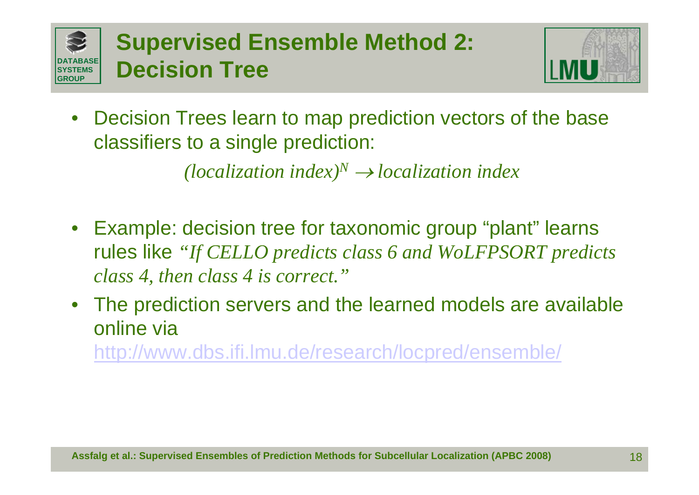#### **DATABASESYSTEMSGROUPSupervised Ensemble Method 2: Decision Tree**



 $\bullet$  Decision Trees learn to map prediction vectors of the base classifiers to a single prediction:

 $(localization index)^N \rightarrow localization index$ 

- Example: decision tree for taxonomic group "plant" learns rules like *"If CELLO predicts class 6 and WoLFPSORT predicts class 4, then class 4 is correct."*
- The prediction servers and the learned models are available online via

http://www.dbs.ifi.lmu.de/research/locpred/ensemble/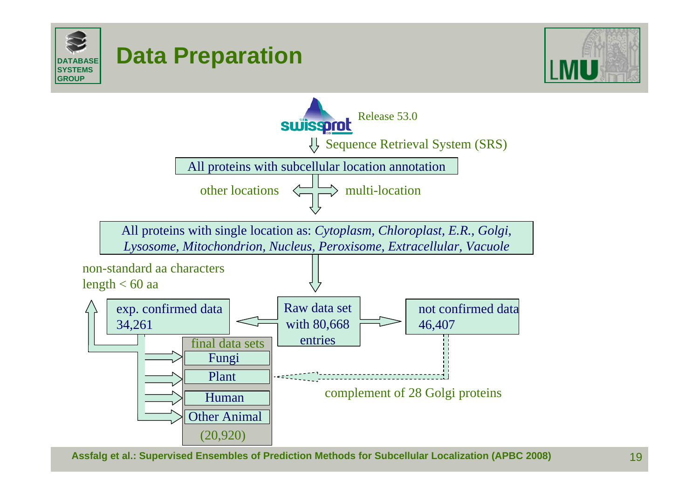

**Assfalg et al.: Supervised Ensembles of Prediction Methods for Subcellular Localization (APBC 2008)** 19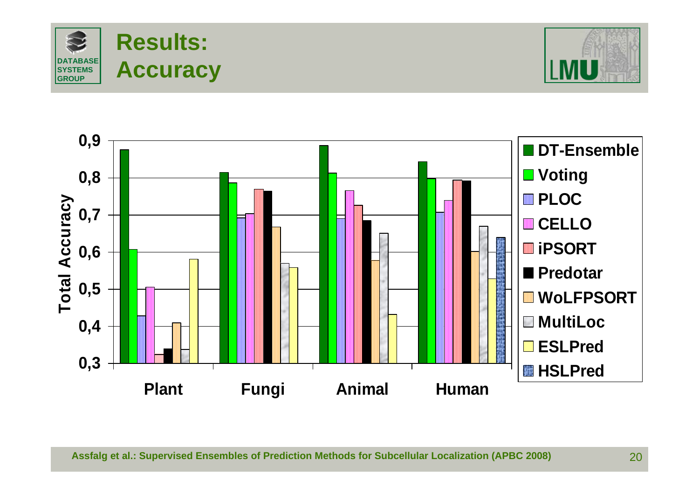



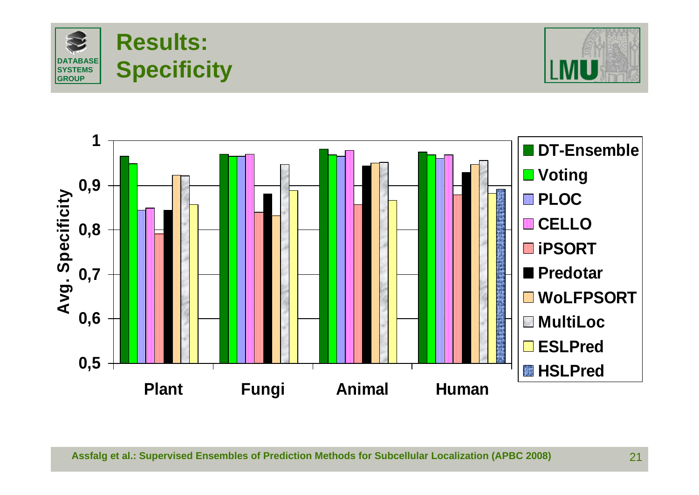